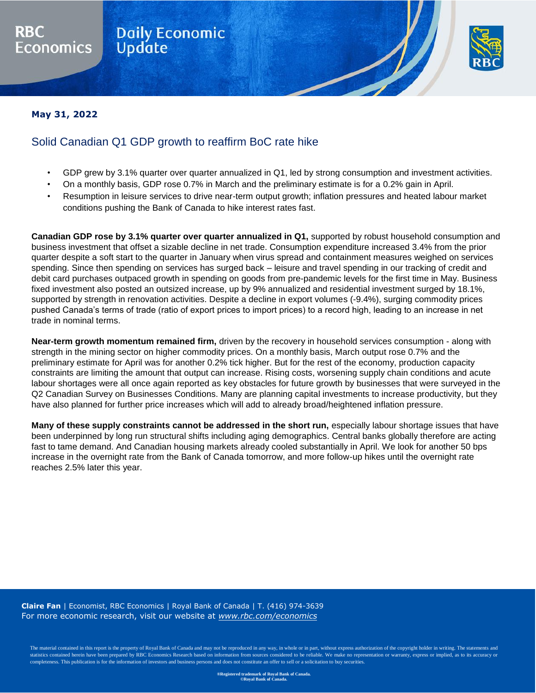## **Daily Economic**<br>Update



May 31, 2022 | **COMMENT** 

## **May 31, 2022**

conomics

## Solid Canadian Q1 GDP growth to reaffirm BoC rate hike

- GDP grew by 3.1% quarter over quarter annualized in Q1, led by strong consumption and investment activities.
- On a monthly basis, GDP rose 0.7% in March and the preliminary estimate is for a 0.2% gain in April.
- Resumption in leisure services to drive near-term output growth; inflation pressures and heated labour market conditions pushing the Bank of Canada to hike interest rates fast.

**Canadian GDP rose by 3.1% quarter over quarter annualized in Q1,** supported by robust household consumption and business investment that offset a sizable decline in net trade. Consumption expenditure increased 3.4% from the prior quarter despite a soft start to the quarter in January when virus spread and containment measures weighed on services spending. Since then spending on services has surged back – leisure and travel spending in our tracking of credit and debit card purchases outpaced growth in spending on goods from pre-pandemic levels for the first time in May. Business fixed investment also posted an outsized increase, up by 9% annualized and residential investment surged by 18.1%, supported by strength in renovation activities. Despite a decline in export volumes (-9.4%), surging commodity prices pushed Canada's terms of trade (ratio of export prices to import prices) to a record high, leading to an increase in net trade in nominal terms.

**Near-term growth momentum remained firm,** driven by the recovery in household services consumption - along with strength in the mining sector on higher commodity prices. On a monthly basis, March output rose 0.7% and the preliminary estimate for April was for another 0.2% tick higher. But for the rest of the economy, production capacity constraints are limiting the amount that output can increase. Rising costs, worsening supply chain conditions and acute labour shortages were all once again reported as key obstacles for future growth by businesses that were surveyed in the Q2 Canadian Survey on Businesses Conditions. Many are planning capital investments to increase productivity, but they have also planned for further price increases which will add to already broad/heightened inflation pressure.

**Many of these supply constraints cannot be addressed in the short run,** especially labour shortage issues that have been underpinned by long run structural shifts including aging demographics. Central banks globally therefore are acting fast to tame demand. And Canadian housing markets already cooled substantially in April. We look for another 50 bps increase in the overnight rate from the Bank of Canada tomorrow, and more follow-up hikes until the overnight rate reaches 2.5% later this year.

**Claire Fan** | Economist, RBC Economics | Royal Bank of Canada | T. (416) 974-3639 For more economic research, visit our website at *[www.rbc.com/economics](http://www.rbc.com/economics/)*

The material contained in this report is the property of Royal Bank of Canada and may not be reproduced in any way, in whole or in part, without express authorization of the copyright holder in writing. The statements and statistics contained herein have been prepared by RBC Economics Research based on information from sources considered to be reliable. We make no representation or warranty, express or implied, as to its accuracy or completeness. This publication is for the information of investors and business persons and does not constitute an offer to sell or a solicitation to buy securities.